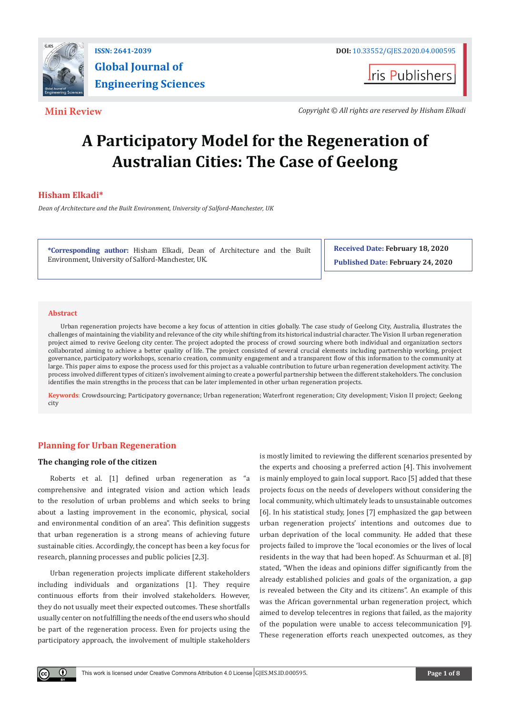

**I**ris Publishers

**Mini Review** *Copyright © All rights are reserved by Hisham Elkadi*

# **A Participatory Model for the Regeneration of Australian Cities: The Case of Geelong**

# **Hisham Elkadi\***

*Dean of Architecture and the Built Environment, University of Salford-Manchester, UK*

**\*Corresponding author:** Hisham Elkadi, Dean of Architecture and the Built Environment, University of Salford-Manchester, UK.

**Received Date: February 18, 2020 Published Date: February 24, 2020**

#### **Abstract**

O.

Urban regeneration projects have become a key focus of attention in cities globally. The case study of Geelong City, Australia, illustrates the challenges of maintaining the viability and relevance of the city while shifting from its historical industrial character. The Vision II urban regeneration project aimed to revive Geelong city center. The project adopted the process of crowd sourcing where both individual and organization sectors collaborated aiming to achieve a better quality of life. The project consisted of several crucial elements including partnership working, project governance, participatory workshops, scenario creation, community engagement and a transparent flow of this information to the community at large. This paper aims to expose the process used for this project as a valuable contribution to future urban regeneration development activity. The process involved different types of citizen's involvement aiming to create a powerful partnership between the different stakeholders. The conclusion identifies the main strengths in the process that can be later implemented in other urban regeneration projects.

**Keywords**: Crowdsourcing; Participatory governance; Urban regeneration; Waterfront regeneration; City development; Vision II project; Geelong city

# **Planning for Urban Regeneration**

#### **The changing role of the citizen**

Roberts et al. [1] defined urban regeneration as "a comprehensive and integrated vision and action which leads to the resolution of urban problems and which seeks to bring about a lasting improvement in the economic, physical, social and environmental condition of an area". This definition suggests that urban regeneration is a strong means of achieving future sustainable cities. Accordingly, the concept has been a key focus for research, planning processes and public policies [2,3].

Urban regeneration projects implicate different stakeholders including individuals and organizations [1]. They require continuous efforts from their involved stakeholders. However, they do not usually meet their expected outcomes. These shortfalls usually center on not fulfilling the needs of the end users who should be part of the regeneration process. Even for projects using the participatory approach, the involvement of multiple stakeholders

is mostly limited to reviewing the different scenarios presented by the experts and choosing a preferred action [4]. This involvement is mainly employed to gain local support. Raco [5] added that these projects focus on the needs of developers without considering the local community, which ultimately leads to unsustainable outcomes [6]. In his statistical study, Jones [7] emphasized the gap between urban regeneration projects' intentions and outcomes due to urban deprivation of the local community. He added that these projects failed to improve the 'local economies or the lives of local residents in the way that had been hoped'. As Schuurman et al. [8] stated, "When the ideas and opinions differ significantly from the already established policies and goals of the organization, a gap is revealed between the City and its citizens". An example of this was the African governmental urban regeneration project, which aimed to develop telecentres in regions that failed, as the majority of the population were unable to access telecommunication [9]. These regeneration efforts reach unexpected outcomes, as they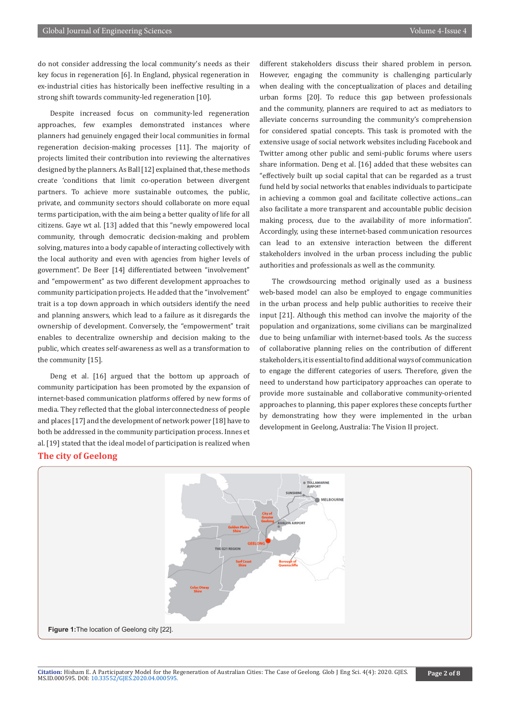do not consider addressing the local community's needs as their key focus in regeneration [6]. In England, physical regeneration in ex-industrial cities has historically been ineffective resulting in a strong shift towards community-led regeneration [10].

Despite increased focus on community-led regeneration approaches, few examples demonstrated instances where planners had genuinely engaged their local communities in formal regeneration decision-making processes [11]. The majority of projects limited their contribution into reviewing the alternatives designed by the planners. As Ball [12] explained that, these methods create 'conditions that limit co-operation between divergent partners. To achieve more sustainable outcomes, the public, private, and community sectors should collaborate on more equal terms participation, with the aim being a better quality of life for all citizens. Gaye wt al. [13] added that this "newly empowered local community, through democratic decision-making and problem solving, matures into a body capable of interacting collectively with the local authority and even with agencies from higher levels of government". De Beer [14] differentiated between "involvement" and "empowerment" as two different development approaches to community participation projects. He added that the "involvement" trait is a top down approach in which outsiders identify the need and planning answers, which lead to a failure as it disregards the ownership of development. Conversely, the "empowerment" trait enables to decentralize ownership and decision making to the public, which creates self-awareness as well as a transformation to the community [15].

Deng et al. [16] argued that the bottom up approach of community participation has been promoted by the expansion of internet-based communication platforms offered by new forms of media. They reflected that the global interconnectedness of people and places [17] and the development of network power [18] have to both be addressed in the community participation process. Innes et al. [19] stated that the ideal model of participation is realized when

different stakeholders discuss their shared problem in person. However, engaging the community is challenging particularly when dealing with the conceptualization of places and detailing urban forms [20]. To reduce this gap between professionals and the community, planners are required to act as mediators to alleviate concerns surrounding the community's comprehension for considered spatial concepts. This task is promoted with the extensive usage of social network websites including Facebook and Twitter among other public and semi-public forums where users share information. Deng et al. [16] added that these websites can "effectively built up social capital that can be regarded as a trust fund held by social networks that enables individuals to participate in achieving a common goal and facilitate collective actions...can also facilitate a more transparent and accountable public decision making process, due to the availability of more information". Accordingly, using these internet-based communication resources can lead to an extensive interaction between the different stakeholders involved in the urban process including the public authorities and professionals as well as the community.

The crowdsourcing method originally used as a business web-based model can also be employed to engage communities in the urban process and help public authorities to receive their input [21]. Although this method can involve the majority of the population and organizations, some civilians can be marginalized due to being unfamiliar with internet-based tools. As the success of collaborative planning relies on the contribution of different stakeholders, it is essential to find additional ways of communication to engage the different categories of users. Therefore, given the need to understand how participatory approaches can operate to provide more sustainable and collaborative community-oriented approaches to planning, this paper explores these concepts further by demonstrating how they were implemented in the urban development in Geelong, Australia: The Vision II project.

# **The city of Geelong**



**Citation:** Hisham E. A Participatory Model for the Regeneration of Australian Cities: The Case of Geelong. Glob J Eng Sci. 4(4): 2020. GJES. MS.ID.000595. DOI: [10.33552/GJES.2020.04.0005](http://dx.doi.org/10.33552/GJES.2020.04.000595)95. **Page 2 of 8**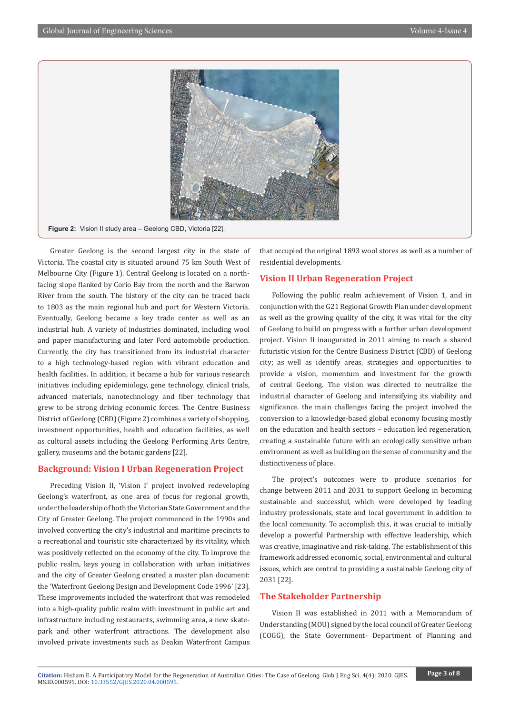

Greater Geelong is the second largest city in the state of Victoria. The coastal city is situated around 75 km South West of Melbourne City (Figure 1). Central Geelong is located on a northfacing slope flanked by Corio Bay from the north and the Barwon River from the south. The history of the city can be traced back to 1803 as the main regional hub and port for Western Victoria. Eventually, Geelong became a key trade center as well as an industrial hub. A variety of industries dominated, including wool and paper manufacturing and later Ford automobile production. Currently, the city has transitioned from its industrial character to a high technology-based region with vibrant education and health facilities. In addition, it became a hub for various research initiatives including epidemiology, gene technology, clinical trials, advanced materials, nanotechnology and fiber technology that grew to be strong driving economic forces. The Centre Business District of Geelong (CBD) (Figure 2) combines a variety of shopping, investment opportunities, health and education facilities, as well as cultural assets including the Geelong Performing Arts Centre, gallery, museums and the botanic gardens [22].

# **Background: Vision I Urban Regeneration Project**

Preceding Vision II, 'Vision I' project involved redeveloping Geelong's waterfront, as one area of focus for regional growth, under the leadership of both the Victorian State Government and the City of Greater Geelong. The project commenced in the 1990s and involved converting the city's industrial and maritime precincts to a recreational and touristic site characterized by its vitality, which was positively reflected on the economy of the city. To improve the public realm, keys young in collaboration with urban initiatives and the city of Greater Geelong created a master plan document: the 'Waterfront Geelong Design and Development Code 1996' [23]. These improvements included the waterfront that was remodeled into a high-quality public realm with investment in public art and infrastructure including restaurants, swimming area, a new skatepark and other waterfront attractions. The development also involved private investments such as Deakin Waterfront Campus

that occupied the original 1893 wool stores as well as a number of residential developments.

# **Vision II Urban Regeneration Project**

Following the public realm achievement of Vision 1, and in conjunction with the G21 Regional Growth Plan under development as well as the growing quality of the city, it was vital for the city of Geelong to build on progress with a further urban development project. Vision II inaugurated in 2011 aiming to reach a shared futuristic vision for the Centre Business District (CBD) of Geelong city; as well as identify areas, strategies and opportunities to provide a vision, momentum and investment for the growth of central Geelong. The vision was directed to neutralize the industrial character of Geelong and intensifying its viability and significance. the main challenges facing the project involved the conversion to a knowledge-based global economy focusing mostly on the education and health sectors – education led regeneration, creating a sustainable future with an ecologically sensitive urban environment as well as building on the sense of community and the distinctiveness of place.

The project's outcomes were to produce scenarios for change between 2011 and 2031 to support Geelong in becoming sustainable and successful, which were developed by leading industry professionals, state and local government in addition to the local community. To accomplish this, it was crucial to initially develop a powerful Partnership with effective leadership, which was creative, imaginative and risk-taking. The establishment of this framework addressed economic, social, environmental and cultural issues, which are central to providing a sustainable Geelong city of 2031 [22].

### **The Stakeholder Partnership**

Vision II was established in 2011 with a Memorandum of Understanding (MOU) signed by the local council of Greater Geelong (COGG), the State Government- Department of Planning and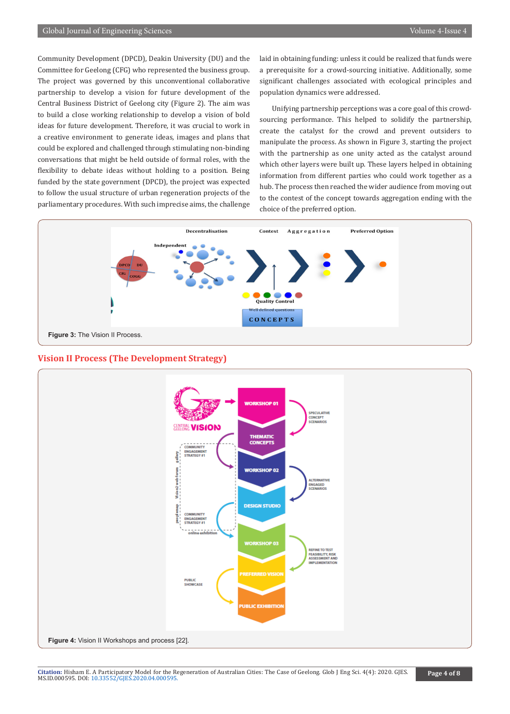Community Development (DPCD), Deakin University (DU) and the Committee for Geelong (CFG) who represented the business group. The project was governed by this unconventional collaborative partnership to develop a vision for future development of the Central Business District of Geelong city (Figure 2). The aim was to build a close working relationship to develop a vision of bold ideas for future development. Therefore, it was crucial to work in a creative environment to generate ideas, images and plans that could be explored and challenged through stimulating non-binding conversations that might be held outside of formal roles, with the flexibility to debate ideas without holding to a position. Being funded by the state government (DPCD), the project was expected to follow the usual structure of urban regeneration projects of the parliamentary procedures. With such imprecise aims, the challenge laid in obtaining funding: unless it could be realized that funds were a prerequisite for a crowd-sourcing initiative. Additionally, some significant challenges associated with ecological principles and population dynamics were addressed.

Unifying partnership perceptions was a core goal of this crowdsourcing performance. This helped to solidify the partnership, create the catalyst for the crowd and prevent outsiders to manipulate the process. As shown in Figure 3, starting the project with the partnership as one unity acted as the catalyst around which other layers were built up. These layers helped in obtaining information from different parties who could work together as a hub. The process then reached the wider audience from moving out to the contest of the concept towards aggregation ending with the choice of the preferred option.



### **Vision II Process (The Development Strategy)**



**Citation:** Hisham E. A Participatory Model for the Regeneration of Australian Cities: The Case of Geelong. Glob J Eng Sci. 4(4): 2020. GJES. MS.ID.000595. DOI: [10.33552/GJES.2020.04.0005](http://dx.doi.org/10.33552/GJES.2020.04.000595)95. **Page 4 of 8**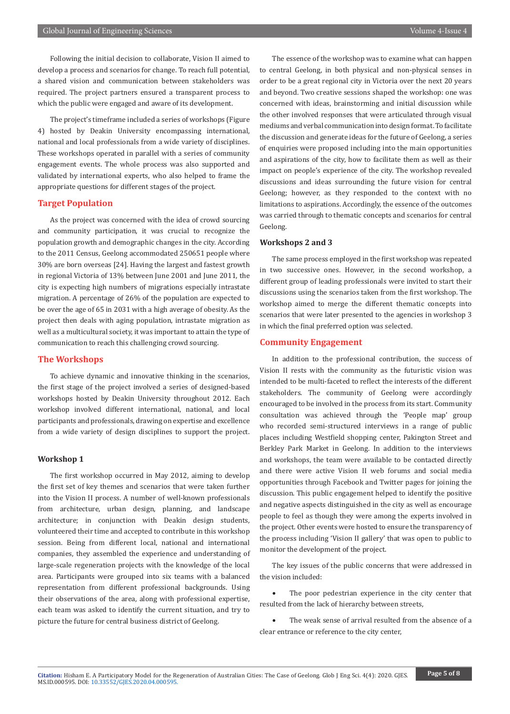Following the initial decision to collaborate, Vision II aimed to develop a process and scenarios for change. To reach full potential, a shared vision and communication between stakeholders was required. The project partners ensured a transparent process to which the public were engaged and aware of its development.

The project's timeframe included a series of workshops (Figure 4) hosted by Deakin University encompassing international, national and local professionals from a wide variety of disciplines. These workshops operated in parallel with a series of community engagement events. The whole process was also supported and validated by international experts, who also helped to frame the appropriate questions for different stages of the project.

# **Target Population**

As the project was concerned with the idea of crowd sourcing and community participation, it was crucial to recognize the population growth and demographic changes in the city. According to the 2011 Census, Geelong accommodated 250651 people where 30% are born overseas [24]. Having the largest and fastest growth in regional Victoria of 13% between June 2001 and June 2011, the city is expecting high numbers of migrations especially intrastate migration. A percentage of 26% of the population are expected to be over the age of 65 in 2031 with a high average of obesity. As the project then deals with aging population, intrastate migration as well as a multicultural society, it was important to attain the type of communication to reach this challenging crowd sourcing.

# **The Workshops**

To achieve dynamic and innovative thinking in the scenarios, the first stage of the project involved a series of designed-based workshops hosted by Deakin University throughout 2012. Each workshop involved different international, national, and local participants and professionals, drawing on expertise and excellence from a wide variety of design disciplines to support the project.

#### **Workshop 1**

The first workshop occurred in May 2012, aiming to develop the first set of key themes and scenarios that were taken further into the Vision II process. A number of well-known professionals from architecture, urban design, planning, and landscape architecture; in conjunction with Deakin design students, volunteered their time and accepted to contribute in this workshop session. Being from different local, national and international companies, they assembled the experience and understanding of large-scale regeneration projects with the knowledge of the local area. Participants were grouped into six teams with a balanced representation from different professional backgrounds. Using their observations of the area, along with professional expertise, each team was asked to identify the current situation, and try to picture the future for central business district of Geelong.

The essence of the workshop was to examine what can happen to central Geelong, in both physical and non-physical senses in order to be a great regional city in Victoria over the next 20 years and beyond. Two creative sessions shaped the workshop: one was concerned with ideas, brainstorming and initial discussion while the other involved responses that were articulated through visual mediums and verbal communication into design format. To facilitate the discussion and generate ideas for the future of Geelong, a series of enquiries were proposed including into the main opportunities and aspirations of the city, how to facilitate them as well as their impact on people's experience of the city. The workshop revealed discussions and ideas surrounding the future vision for central Geelong; however, as they responded to the context with no limitations to aspirations. Accordingly, the essence of the outcomes was carried through to thematic concepts and scenarios for central Geelong.

# **Workshops 2 and 3**

The same process employed in the first workshop was repeated in two successive ones. However, in the second workshop, a different group of leading professionals were invited to start their discussions using the scenarios taken from the first workshop. The workshop aimed to merge the different thematic concepts into scenarios that were later presented to the agencies in workshop 3 in which the final preferred option was selected.

#### **Community Engagement**

In addition to the professional contribution, the success of Vision II rests with the community as the futuristic vision was intended to be multi-faceted to reflect the interests of the different stakeholders. The community of Geelong were accordingly encouraged to be involved in the process from its start. Community consultation was achieved through the 'People map' group who recorded semi-structured interviews in a range of public places including Westfield shopping center, Pakington Street and Berkley Park Market in Geelong. In addition to the interviews and workshops, the team were available to be contacted directly and there were active Vision II web forums and social media opportunities through Facebook and Twitter pages for joining the discussion. This public engagement helped to identify the positive and negative aspects distinguished in the city as well as encourage people to feel as though they were among the experts involved in the project. Other events were hosted to ensure the transparency of the process including 'Vision II gallery' that was open to public to monitor the development of the project.

The key issues of the public concerns that were addressed in the vision included:

The poor pedestrian experience in the city center that resulted from the lack of hierarchy between streets,

The weak sense of arrival resulted from the absence of a clear entrance or reference to the city center,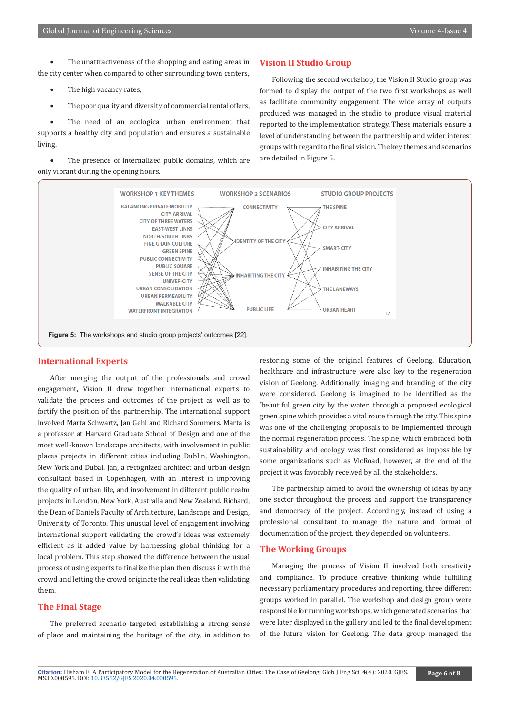The unattractiveness of the shopping and eating areas in the city center when compared to other surrounding town centers,

- The high vacancy rates,
- The poor quality and diversity of commercial rental offers,

The need of an ecological urban environment that supports a healthy city and population and ensures a sustainable living.

• The presence of internalized public domains, which are only vibrant during the opening hours.

#### **Vision II Studio Group**

Following the second workshop, the Vision II Studio group was formed to display the output of the two first workshops as well as facilitate community engagement. The wide array of outputs produced was managed in the studio to produce visual material reported to the implementation strategy. These materials ensure a level of understanding between the partnership and wider interest groups with regard to the final vision. The key themes and scenarios are detailed in Figure 5.



### **International Experts**

After merging the output of the professionals and crowd engagement, Vision II drew together international experts to validate the process and outcomes of the project as well as to fortify the position of the partnership. The international support involved Marta Schwartz, Jan Gehl and Richard Sommers. Marta is a professor at Harvard Graduate School of Design and one of the most well-known landscape architects, with involvement in public places projects in different cities including Dublin, Washington, New York and Dubai. Jan, a recognized architect and urban design consultant based in Copenhagen, with an interest in improving the quality of urban life, and involvement in different public realm projects in London, New York, Australia and New Zealand. Richard, the Dean of Daniels Faculty of Architecture, Landscape and Design, University of Toronto. This unusual level of engagement involving international support validating the crowd's ideas was extremely efficient as it added value by harnessing global thinking for a local problem. This step showed the difference between the usual process of using experts to finalize the plan then discuss it with the crowd and letting the crowd originate the real ideas then validating them.

# **The Final Stage**

The preferred scenario targeted establishing a strong sense of place and maintaining the heritage of the city, in addition to

restoring some of the original features of Geelong. Education, healthcare and infrastructure were also key to the regeneration vision of Geelong. Additionally, imaging and branding of the city were considered. Geelong is imagined to be identified as the 'beautiful green city by the water' through a proposed ecological green spine which provides a vital route through the city. This spine was one of the challenging proposals to be implemented through the normal regeneration process. The spine, which embraced both sustainability and ecology was first considered as impossible by some organizations such as VicRoad, however, at the end of the project it was favorably received by all the stakeholders.

The partnership aimed to avoid the ownership of ideas by any one sector throughout the process and support the transparency and democracy of the project. Accordingly, instead of using a professional consultant to manage the nature and format of documentation of the project, they depended on volunteers.

# **The Working Groups**

Managing the process of Vision II involved both creativity and compliance. To produce creative thinking while fulfilling necessary parliamentary procedures and reporting, three different groups worked in parallel. The workshop and design group were responsible for running workshops, which generated scenarios that were later displayed in the gallery and led to the final development of the future vision for Geelong. The data group managed the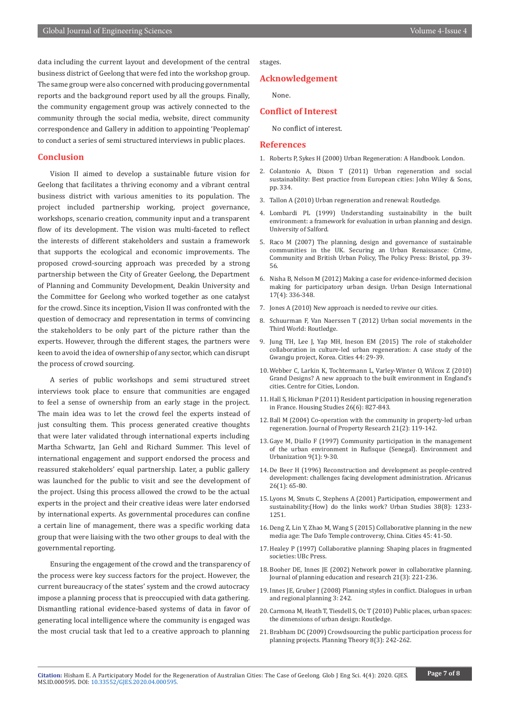data including the current layout and development of the central business district of Geelong that were fed into the workshop group. The same group were also concerned with producing governmental reports and the background report used by all the groups. Finally, the community engagement group was actively connected to the community through the social media, website, direct community correspondence and Gallery in addition to appointing 'Peoplemap' to conduct a series of semi structured interviews in public places.

#### **Conclusion**

Vision II aimed to develop a sustainable future vision for Geelong that facilitates a thriving economy and a vibrant central business district with various amenities to its population. The project included partnership working, project governance, workshops, scenario creation, community input and a transparent flow of its development. The vision was multi-faceted to reflect the interests of different stakeholders and sustain a framework that supports the ecological and economic improvements. The proposed crowd-sourcing approach was preceded by a strong partnership between the City of Greater Geelong, the Department of Planning and Community Development, Deakin University and the Committee for Geelong who worked together as one catalyst for the crowd. Since its inception, Vision II was confronted with the question of democracy and representation in terms of convincing the stakeholders to be only part of the picture rather than the experts. However, through the different stages, the partners were keen to avoid the idea of ownership of any sector, which can disrupt the process of crowd sourcing.

A series of public workshops and semi structured street interviews took place to ensure that communities are engaged to feel a sense of ownership from an early stage in the project. The main idea was to let the crowd feel the experts instead of just consulting them. This process generated creative thoughts that were later validated through international experts including Martha Schwartz, Jan Gehl and Richard Summer. This level of international engagement and support endorsed the process and reassured stakeholders' equal partnership. Later, a public gallery was launched for the public to visit and see the development of the project. Using this process allowed the crowd to be the actual experts in the project and their creative ideas were later endorsed by international experts. As governmental procedures can confine a certain line of management, there was a specific working data group that were liaising with the two other groups to deal with the governmental reporting.

Ensuring the engagement of the crowd and the transparency of the process were key success factors for the project. However, the current bureaucracy of the states' system and the crowd autocracy impose a planning process that is preoccupied with data gathering. Dismantling rational evidence-based systems of data in favor of generating local intelligence where the community is engaged was the most crucial task that led to a creative approach to planning stages.

#### **Acknowledgement**

None.

#### **Conflict of Interest**

No conflict of interest.

#### **References**

- 1. Roberts P, Sykes H (2000) Urban Regeneration: A Handbook. London.
- 2. Colantonio A, Dixon T (2011) Urban regeneration and social sustainability: Best practice from European cities: John Wiley & Sons, pp. 334.
- 3. Tallon A (2010) Urban regeneration and renewal: Routledge.
- 4. [Lombardi PL \(1999\) Understanding sustainability in the built](http://usir.salford.ac.uk/id/eprint/14764/)  [environment: a framework for evaluation in urban planning and design.](http://usir.salford.ac.uk/id/eprint/14764/)  [University of Salford.](http://usir.salford.ac.uk/id/eprint/14764/)
- 5. Raco M (2007) The planning, design and governance of sustainable communities in the UK. Securing an Urban Renaissance: Crime, Community and British Urban Policy, The Policy Press: Bristol, pp. 39- 56.
- 6. [Nisha B, Nelson M \(2012\) Making a case for evidence-informed decision](https://link.springer.com/article/10.1057/udi.2012.16)  [making for participatory urban design. Urban Design International](https://link.springer.com/article/10.1057/udi.2012.16)  [17\(4\): 336-348.](https://link.springer.com/article/10.1057/udi.2012.16)
- 7. Jones A (2010) New approach is needed to revive our cities.
- 8. Schuurman F, Van Naerssen T (2012) Urban social movements in the Third World: Routledge.
- 9. [Jung TH, Lee J, Yap MH, Ineson EM \(2015\) The role of stakeholder](https://www.sciencedirect.com/science/article/abs/pii/S0264275114002066)  [collaboration in culture-led urban regeneration: A case study of the](https://www.sciencedirect.com/science/article/abs/pii/S0264275114002066)  [Gwangju project, Korea. Cities 44: 29-39.](https://www.sciencedirect.com/science/article/abs/pii/S0264275114002066)
- 10. [Webber C, Larkin K, Tochtermann L, Varley-Winter O, Wilcox Z \(2010\)](https://www.centreforcities.org/publication/grand-designs-a-new-approach-to-the-built-environment-in-englands-cities/)  [Grand Designs? A new approach to the built environment in England's](https://www.centreforcities.org/publication/grand-designs-a-new-approach-to-the-built-environment-in-englands-cities/)  [cities. Centre for Cities, London.](https://www.centreforcities.org/publication/grand-designs-a-new-approach-to-the-built-environment-in-englands-cities/)
- 11. [Hall S, Hickman P \(2011\) Resident participation in housing regeneration](https://www.tandfonline.com/doi/abs/10.1080/02673037.2011.593127)  [in France. Housing Studies 26\(6\): 827-843](https://www.tandfonline.com/doi/abs/10.1080/02673037.2011.593127).
- 12. Ball M (2004) Co-operation with the community in property-led urban [regeneration. Journal of Property Research 21\(2\): 119-142.](https://www.tandfonline.com/doi/abs/10.1080/0959991042000328810)
- 13. Gaye M, Diallo F (1997) Community participation in the management of the urban environment in Rufisque (Senegal). Environment and Urbanization 9(1): 9-30.
- 14. [De Beer H \(1996\) Reconstruction and development as people-centred](https://www.africabib.org/rec.php?RID=154854972)  [development: challenges facing development administration. Africanus](https://www.africabib.org/rec.php?RID=154854972)  [26\(1\): 65-80.](https://www.africabib.org/rec.php?RID=154854972)
- 15. [Lyons M, Smuts C, Stephens A \(2001\) Participation, empowerment and](https://journals.sagepub.com/doi/10.1080/00420980125039)  [sustainability:\(How\) do the links work? Urban Studies 38\(8\): 1233-](https://journals.sagepub.com/doi/10.1080/00420980125039) [1251.](https://journals.sagepub.com/doi/10.1080/00420980125039)
- 16. [Deng Z, Lin Y, Zhao M, Wang S \(2015\) Collaborative planning in the new](https://www.sciencedirect.com/science/article/abs/pii/S0264275115000219)  [media age: The Dafo Temple controversy, China. Cities 45: 41-50.](https://www.sciencedirect.com/science/article/abs/pii/S0264275115000219)
- 17. Healey P (1997) Collaborative planning: Shaping places in fragmented societies: UBc Press.
- 18. [Booher DE, Innes JE \(2002\) Network power in collaborative planning.](https://journals.sagepub.com/doi/10.1177/0739456X0202100301)  [Journal of planning education and research 21\(3\): 221-236.](https://journals.sagepub.com/doi/10.1177/0739456X0202100301)
- 19. Innes JE, Gruber J (2008) Planning styles in conflict. Dialogues in urban and regional planning 3: 242.
- 20. Carmona M, Heath T, Tiesdell S, Oc T (2010) Public places, urban spaces: the dimensions of urban design: Routledge.
- 21. [Brabham DC \(2009\) Crowdsourcing the public participation process for](https://journals.sagepub.com/doi/10.1177/1473095209104824)  [planning projects. Planning Theory 8\(3\): 242-262.](https://journals.sagepub.com/doi/10.1177/1473095209104824)